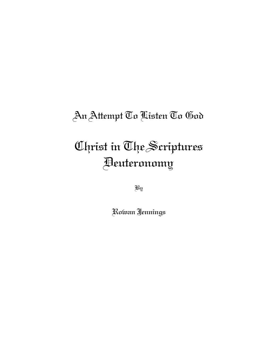## An Attempt To Listen To God

# Christ in The Scriptures Deuteronomy

By

Rowan Jennings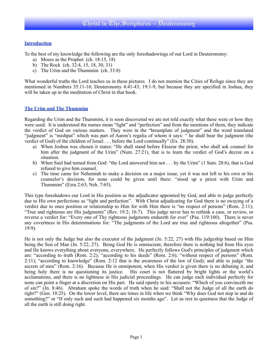#### **Introduction**

To the best of my knowledge the following are the only foreshadowings of our Lord in Deuteronomy:

- a) Moses as the Prophet (ch. 18:15, 18)
- b) The Rock (ch. 32:4, 15, 18, 30, 31)
- c) The Urim and the Thummim (ch. 33:8)

What wonderful truths the Lord teaches us in these pictures. I do not mention the Cities of Refuge since they are mentioned in Numbers 35:11-16; Deuteronomy 4:41-43; 19:1-9, but because they are specified in Joshua, they will be taken up in the meditation of Christ in that book.

#### **The Urim and The Thummim**

Regarding the Urim and the Thummim, it is soon discovered we are not told exactly what these were or how they were used. It is understood the names mean "light" and "perfection" and from the mentions of them, they indicate the verdict of God on various matters. They were in the "breastplate of judgment" and the word translated "judgment" is "mishpat" which was part of Aaron's regalia of whom it says: " he shall bear the judgment (the verdict of God) of the children of Israel . . . before the Lord continually" (Ex. 28:30).

- a) When Joshua was chosen it states: "He shall stand before Eleazar the priest, who shall ask counsel for him after the judgment of the Urim" (Num. 27:21), that is to learn the verdict of God's decree on a situation.
- b) When Saul had turned from God: "the Lord answered him not . . . by the Urim" (1 Sam. 28:6), that is God refused to give him counsel.
- c) The time came for Nehemiah to make a decision on a major issue, yet it was not left to his own or his counselor's decision, for none could be given until there: "stood up a priest with Urim and Thummim" (Ezra 2:63; Neh. 7:65).

This type foreshadows our Lord in His position as the adjudicator appointed by God, and able to judge perfectly due to His own perfections as "light and perfection". With Christ adjudicating for God there is no swaying of a verdict due to ones position or relationship to Him for with Him there is "no respect of persons" (Rom. 2:11); "True and righteous are His judgments" (Rev. 19:2; 16:7). This judge never has to rethink a case, or review, or reverse a verdict for: "Every one of Thy righteous judgments endureth for ever" (Psa. 119:160). There is never any covertness in His determinations for: "The judgments of the Lord are true and righteous altogether" (Psa. 19:9).

He is not only the Judge but also the executor of the judgment (Jn. 5:22, 27) with His judgeship based on Him being the Son of Man (Jn. 5:22, 27). Being God He is omniscient, therefore there is nothing hid from His eyes and He knows everything about everyone, everywhere. He perfectly follows God's principles of judgment which are: "according to truth (Rom. 2:2); "according to his deeds" (Rom. 2:6); "without respect of persons" (Rom. 2:11); "according to knowledge" (Rom. 2:12 that is the awareness of the law of God); and able to judge "the secrets of men" (Rom. 2:16). Because He is omnipotent, when His verdict is given there is no debating it, and being holy there is no questioning its justice. His court is not flattered by bright lights or the world's acclamations, and there is no lightness in His judicial proceedings. He can judge each individual perfectly for none can point a finger at a discretion on His part. He said openly to his accusers: "Which of you convinceth me of sin?" (Jn. 8:46). Abraham spoke the words of truth when he said: "Shall not the Judge of all the earth do right?" (Gen. 18:25). On the lower level, there are times in life when we think "Why does God not step in and do something?" or "If only such and such had happened six months ago". Let us rest in quietness that the Judge of all the earth is still doing right.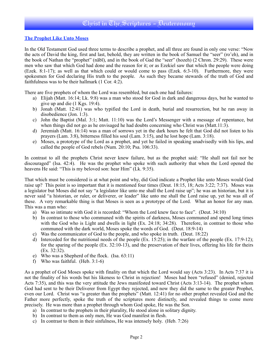#### **The Prophet Like Unto Moses**

In the Old Testament God used three terms to describe a prophet, and all three are found in only one verse: "Now the acts of David the king, first and last, behold, they are written in the book of Samuel the "seer" (ro'eh), and in the book of Nathan the "prophet" (nābī), and in the book of Gad the "seer" (hozeh) (2 Chron. 29:29). These were men who saw that which God had done and the reason for it; or as Ezekiel saw that which the people were doing (Ezek. 8:1-17); as well as that which could or would come to pass (Ezek. 6:3-10). Furthermore, they were spokesmen for God declaring His truth to the people. As such they became stewards of the truth of God and faithfulness was to be their hallmark (1 Cor. 4:2).

There are five prophets of whom the Lord was resembled, but each one had failures:

- a) Elijah (Matt. 16:14; Lk. 9:8) was a man who stood for God in dark and dangerous days, but he wanted to give up and die (1 Kgs. 19:4).
- b) Jonah (Matt. 12:41) was who typified the Lord in death, burial and resurrection, but he ran away in disobedience (Jon. 1:3).
- c) John the Baptist (Mal. 3:1; Matt. 11:10) was the Lord's Messenger with a message of repentance, but when things did not go as he envisaged he had doubts concerning who Christ was (Matt.11:3).
- d) Jeremiah (Matt. 16:14) was a man of sorrows yet in the dark hours he felt that God did not listen to his prayers (Lam. 3:8), bitterness filled his soul (Lam. 3:15), and he lost hope (Lam. 3:18).
- e) Moses, a prototype of the Lord as a prophet, and yet he failed in speaking unadvisedly with his lips, and called the people of God rebels (Num. 20:10; Psa. 106:33).

In contrast to all the prophets Christ never knew failure, but as the prophet said: "He shall not fail nor be discouraged" (Isa. 42:4). He was the prophet who spoke with such authority that when the Lord opened the heavens He said: "This is my beloved son: hear Him" (Lk. 9:35).

That which must be considered is at what point and why, did God indicate a Prophet like unto Moses would God raise up? This point is so important that it is mentioned four times (Deut. 18:15, 18; Acts 3:22; 7:37). Moses was a legislator but Moses did not say "a legislator like unto me shall the Lord raise up"; he was an historian, but it is never said "a historian, or ruler, or deliverer, or leader" like unto me shall the Lord raise up, yet he was all of these. A very remarkable thing is that Moses is seen as a prototype of the Lord. What an honor for any man. This was a man who:

- a) Was so intimate with God it is recorded: "Whom the Lord knew face to face". (Deut. 34:10)
- b) In contrast to those who communed with the spirits of darkness, Moses communed and spend long times with the God who is Light and dwells in light (Ex. 24:18; 34:28). Therefore, in contrast to those who communed with the dark world, Moses spoke the words of God. (Deut. 18:9-14)
- c) Was the communicator of God to the people, and who spoke in truth. (Deut. 18:22)
- d) Interceded for the nutritional needs of the people (Ex. 15:25); in the warfare of the people (Ex. 17:9-12); for the sparing of the people (Ex. 32:10-13), and the preservation of their lives, offering his life for theirs (Ex. 32:32).
- e) Who was a Shepherd of the flock. (Isa. 63:11)
- f) Who was faithful. (Heb. 3:1-6)

As a prophet of God Moses spoke with finality on that which the Lord would say (Acts 3:23). In Acts 7:37 it is not the finality of his words but his likeness to Christ in rejection! Moses had been "refused" (denied, rejected Acts 7:35), and this was the very attitude the Jews manifested toward Christ (Acts 3:13-14). The prophet whom God had sent to be their Deliverer from Egypt they rejected, and now they did the same to the greater Prophet, even our Lord. Christ was "a greater than the prophets" (Matt. 12:41) for no other prophet revealed God and the Father more perfectly, spoke the truth of the scriptures more distinctly, and revealed things to come more precisely. He was more than a prophet through whom God spoke, He was the Son.

- a) In contrast to the prophets in their plurality, He stood alone in solitary dignity.
- b) In contrast to them as only men, He was God manifest in flesh.
- c) In contrast to them in their sinfulness, He was intensely holy. (Heb. 7:26)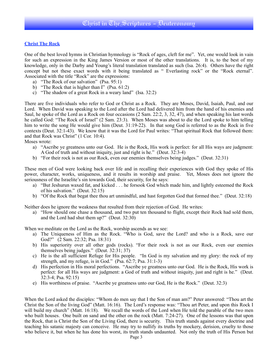#### **Christ The Rock**

One of the best loved hymns in Christian hymnology is "Rock of ages, cleft for me". Yet, one would look in vain for such an expression in the King James Version or most of the other translations. It is, to the best of my knowledge, only in the Darby and Young's literal translation translated as such (Isa. 26:4). Others have the right concept but not these exact words with it being translated as " Everlasting rock" or the "Rock eternal". Associated with the title "Rock" are the expressions:

- a) "The Rock of our salvation" (Psa. 95:1)
- b) "The Rock that is higher than I" (Psa. 61:2)
- c) "The shadow of a great Rock in a weary land" (Isa. 32:2)

There are five individuals who refer to God or Christ as a Rock. They are Moses, David, Isaiah, Paul, and our Lord. When David was speaking to the Lord after the Lord had delivered him from the hand of his enemies and Saul, he spoke of the Lord as a Rock on four occasions (2 Sam. 22:2, 3, 32, 47), and when speaking his last words he called God: "The Rock of Israel" (2 Sam. 23:3). When Moses was about to die the Lord spoke to him telling him to write the song He would give him (Deut. 31:19-22). In that song God is referred to as the Rock in five contexts (Deut. 32:1-43). We know that it was the Lord for Paul writes: "That spiritual Rock that followed them: and that Rock was Christ" (1 Cor. 10:4).

Moses wrote:

- a) "Ascribe ye greatness unto our God. He is the Rock, His work is perfect: for all His ways are judgment: A God of truth and without iniquity, just and right is he." (Deut. 32:3-4)
- b) "For their rock is not as our Rock, even our enemies themselves being judges." (Deut. 32:31)

These men of God were looking back over life and in recalling their experiences with God they spoke of His power, character, works, uniqueness, and it results in worship and praise. Yet, Moses does not ignore the seriousness of the Israelite's sin towards God, their security, for he says:

- a) "But Jeshurun waxed fat, and kicked . . . he forsook God which made him, and lightly esteemed the Rock of his salvation." (Deut. 32:15)
- b) "Of the Rock that begat thee thou art unmindful, and hast forgotten God that formed thee." (Deut. 32:18)

Neither does he ignore the weakness that resulted from their rejection of God. He writes:

a) "How should one chase a thousand, and two put ten thousand to flight, except their Rock had sold them, and the Lord had shut them up?" (Deut. 32:30)

When we meditate on the Lord as the Rock, worship ascends as we see:

- a) The Uniqueness of Him as the Rock. "Who is God, save the Lord? and who is a Rock, save our God?" (2 Sam. 22:32; Psa. 18:31)
- b) His superiority over all other gods (rocks). "For their rock is not as our Rock, even our enemies themselves being judges." (Deut. 32:31; 37)
- c) He is the all sufficient Refuge for His people. "In God is my salvation and my glory: the rock of my strength, and my refuge, is in God." (Psa. 62:7; Psa. 31:1-3)
- d) His perfection in His moral perfections. "Ascribe ye greatness unto our God. He is the Rock, His work is perfect: for all His ways are judgment: a God of truth and without iniquity, just and right is he." (Deut. 32:3-4; Psa. 92:15)
- e) His worthiness of praise. "Ascribe ye greatness unto our God, He is the Rock." (Deut. 32:3)

When the Lord asked the disciples: "Whom do men say that I the Son of man am?" Peter answered: "Thou art the Christ the Son of the living God" (Matt. 16:16). The Lord's response was: "Thou art Peter, and upon this Rock I will build my church" (Matt. 16:18). We recall the words of the Lord when He told the parable of the two men who built houses. One built on sand and the other on the rock (Matt. 7:24-27). One of the lessons was that upon the Rock, that is Christ the Son of the Living God, there is security. This truth stands against every doctrine and teaching his satanic majesty can conceive. He may try to nullify its truths by mockery, derision, cruelty to those who believe it, but when he has done his worst, its truth stands undaunted. Not only the truth of His Person but